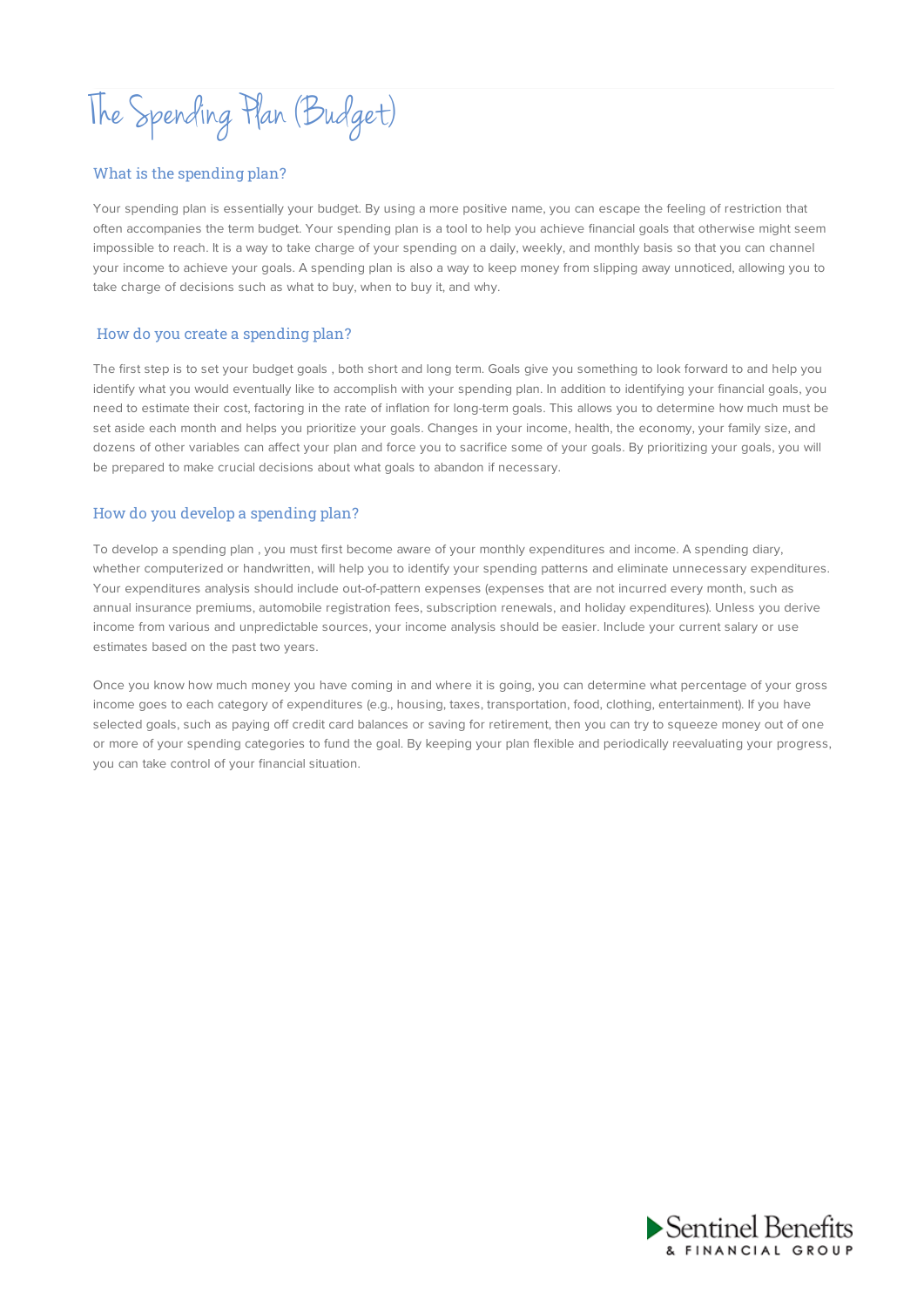The Spending Plan (Budget)

# What is the spending plan?

Your spending plan is essentially your budget. By using a more positive name, you can escape the feeling of restriction that often accompanies the term budget. Your spending plan is a tool to help you achieve financial goals that otherwise might seem impossible to reach. It is a way to take charge of your spending on a daily, weekly, and monthly basis so that you can channel your income to achieve your goals. A spending plan is also a way to keep money from slipping away unnoticed, allowing you to take charge of decisions such as what to buy, when to buy it, and why.

## How do you create a spending plan?

The first step is to set your budget goals , both short and long term. Goals give you something to look forward to and help you identify what you would eventually like to accomplish with your spending plan. In addition to identifying your financial goals, you need to estimate their cost, factoring in the rate of inflation for long-term goals. This allows you to determine how much must be set aside each month and helps you prioritize your goals. Changes in your income, health, the economy, your family size, and dozens of other variables can affect your plan and force you to sacrifice some of your goals. By prioritizing your goals, you will be prepared to make crucial decisions about what goals to abandon if necessary.

### How do you develop a spending plan?

To develop a spending plan , you must first become aware of your monthly expenditures and income. A spending diary, whether computerized or handwritten, will help you to identify your spending patterns and eliminate unnecessary expenditures. Your expenditures analysis should include out-of-pattern expenses (expenses that are not incurred every month, such as annual insurance premiums, automobile registration fees, subscription renewals, and holiday expenditures). Unless you derive income from various and unpredictable sources, your income analysis should be easier. Include your current salary or use estimates based on the past two years.

Once you know how much money you have coming in and where it is going, you can determine what percentage of your gross income goes to each category of expenditures (e.g., housing, taxes, transportation, food, clothing, entertainment). If you have selected goals, such as paying off credit card balances or saving for retirement, then you can try to squeeze money out of one or more of your spending categories to fund the goal. By keeping your plan flexible and periodically reevaluating your progress, you can take control of your financial situation.